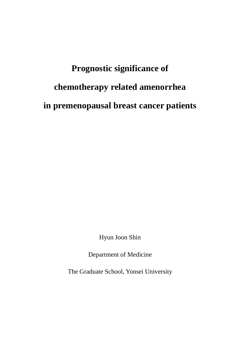# **Prognostic significance of chemotherapy related amenorrhea in premenopausal breast cancer patients**

Hyun Joon Shin

Department of Medicine

The Graduate School, Yonsei University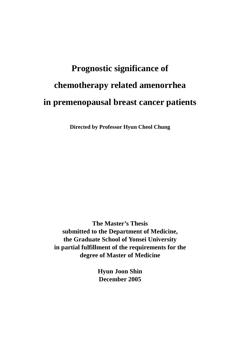# **Prognostic significance of chemotherapy related amenorrhea in premenopausal breast cancer patients**

**Directed by Professor Hyun Cheol Chung** 

**The Master's Thesis submitted to the Department of Medicine, the Graduate School of Yonsei University in partial fulfillment of the requirements for the degree of Master of Medicine** 

> **Hyun Joon Shin December 2005**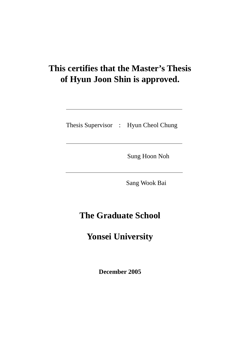# **This certifies that the Master's Thesis of Hyun Joon Shin is approved.**

Thesis Supervisor : Hyun Cheol Chung

Sung Hoon Noh

Sang Wook Bai

# **The Graduate School**

# **Yonsei University**

**December 2005**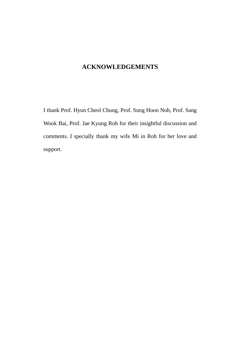### **ACKNOWLEDGEMENTS**

I thank Prof. Hyun Cheol Chung, Prof. Sung Hoon Noh, Prof. Sang Wook Bai, Prof. Jae Kyung Roh for their insightful discussion and comments. I specially thank my wife Mi in Roh for her love and support.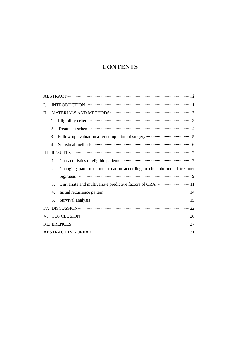## **CONTENTS**

| I. |    |                                                                       |  |  |  |  |
|----|----|-----------------------------------------------------------------------|--|--|--|--|
| П. |    |                                                                       |  |  |  |  |
|    | 1. |                                                                       |  |  |  |  |
|    | 2. |                                                                       |  |  |  |  |
|    | 3. |                                                                       |  |  |  |  |
|    | 4. |                                                                       |  |  |  |  |
|    |    |                                                                       |  |  |  |  |
|    | 1. |                                                                       |  |  |  |  |
|    | 2. | Changing pattern of menstruation according to chemohormonal treatment |  |  |  |  |
|    |    |                                                                       |  |  |  |  |
|    | 3. |                                                                       |  |  |  |  |
|    | 4. |                                                                       |  |  |  |  |
|    | 5. |                                                                       |  |  |  |  |
|    |    |                                                                       |  |  |  |  |
|    |    |                                                                       |  |  |  |  |
|    |    |                                                                       |  |  |  |  |
|    |    |                                                                       |  |  |  |  |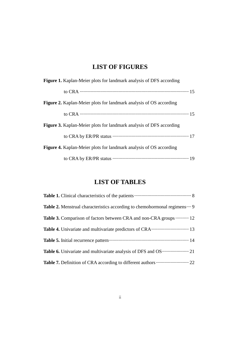## **LIST OF FIGURES**

| <b>Figure 1.</b> Kaplan-Meier plots for landmark analysis of DFS according |
|----------------------------------------------------------------------------|
| to CRA $\cdots$ 15                                                         |
| <b>Figure 2.</b> Kaplan-Meier plots for landmark analysis of OS according  |
| to CRA $\cdots$ 15                                                         |
| Figure 3. Kaplan-Meier plots for landmark analysis of DFS according        |
|                                                                            |
| <b>Figure 4.</b> Kaplan-Meier plots for landmark analysis of OS according  |
|                                                                            |

### **LIST OF TABLES**

| Table 1. Clinical characteristics of the patients <b>CONCLUMENT</b> 8            |
|----------------------------------------------------------------------------------|
| <b>Table 2.</b> Menstrual characteristics according to chemohormonal regimens  9 |
| <b>Table 3.</b> Comparison of factors between CRA and non-CRA groups  12         |
|                                                                                  |
| Table 5. Initial recurrence pattern manufactured and 14                          |
|                                                                                  |
|                                                                                  |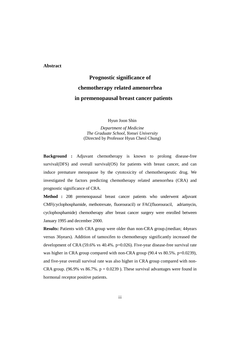#### **Abstract**

# **Prognostic significance of chemotherapy related amenorrhea in premenopausal breast cancer patients**

Hyun Joon Shin

*Department of Medicine The Graduate School, Yonsei University*  (Directed by Professor Hyun Cheol Chung)

**Background :** Adjuvant chemotherapy is known to prolong disease-free survival(DFS) and overall survival(OS) for patients with breast cancer, and can induce premature menopause by the cytotoxicity of chemotherapeutic drug. We investigated the factors predicting chemotherapy related amenorrhea (CRA) and prognostic significance of CRA.

**Method :** 208 premenopausal breast cancer patients who underwent adjuvant CMF(cyclophosphamide, methotrexate, fluorouracil) or FAC(fluorouracil, adriamycin, cyclophosphamide) chemotherapy after breast cancer surgery were enrolled between January 1995 and december 2000.

**Results:** Patients with CRA group were older than non-CRA group.(median; 44years versus 36years). Addition of tamoxifen to chemotherapy significantly increased the development of CRA (59.6% vs 40.4%. p=0.026). Five-year disease-free survival rate was higher in CRA group compared with non-CRA group (90.4 vs 80.5%. p=0.0239), and five-year overall survival rate was also higher in CRA group compared with non-CRA group. (96.9% vs  $86.7\%$ . p = 0.0239). These survival advantages were found in hormonal receptor positive patients.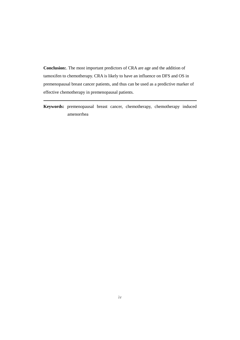**Conclusion:**. The most important predictors of CRA are age and the addition of tamoxifen to chemotherapy. CRA is likely to have an influence on DFS and OS in premenopausal breast cancer patients, and thus can be used as a predictive marker of effective chemotherapy in premenopausal patients.

**Keywords:** premenopausal breast cancer, chemotherapy, chemotherapy induced amenorrhea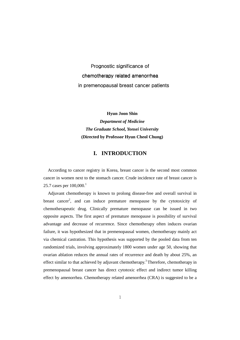Prognostic significance of chemotherapy related amenorrhea in premenopausal breast cancer patients

**Hyun Joon Shin** 

*Department of Medicine The Graduate School, Yonsei University*  **(Directed by Professor Hyun Cheol Chung)** 

#### **I. INTRODUCTION**

According to cancer registry in Korea, breast cancer is the second most common cancer in women next to the stomach cancer. Crude incidence rate of breast cancer is 25.7 cases per  $100,000$ .<sup>1</sup>

Adjuvant chemotherapy is known to prolong disease-free and overall survival in breast cancer<sup>2</sup>, and can induce premature menopause by the cytotoxicity of chemotherapeutic drug. Clinically premature menopause can be issued in two opposite aspects. The first aspect of premature menopause is possibility of survival advantage and decrease of recurrence. Since chemotherapy often induces ovarian failure, it was hypothesized that in premenopausal women, chemotherapy mainly act via chemical castration. This hypothesis was supported by the pooled data from ten randomized trials, involving approximately 1800 women under age 50, showing that ovarian ablation reduces the annual rates of recurrence and death by about 25%, an effect similar to that achieved by adjuvant chemotherapy.<sup>3</sup> Therefore, chemotherapy in premenopausal breast cancer has direct cytotoxic effect and indirect tumor killing effect by amenorrhea. Chemotherapy related amenorrhea (CRA) is suggested to be a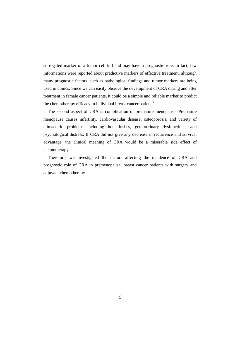surrogated marker of a tumor cell kill and may have a prognostic role. In fact, few informations were reported about predictive markers of effective treatment, although many prognostic factors, such as pathological findings and tumor markers are being used in clinics. Since we can easily observe the development of CRA during and after treatment in female cancer patients, it could be a simple and reliable marker to predict the chemotherapy efficacy in individual breast cancer patient.<sup>4</sup>

The second aspect of CRA is complication of premature menopause. Premature menopause causes infertility, cardiovascular disease, osteoporosis, and variety of climacteric problems including hot flushes, genitourinary dysfunctions, and psychological distress. If CRA did not give any decrease in recurrence and survival advantage, the clinical meaning of CRA would be a miserable side effect of chemotherapy.

Therefore, we investigated the factors affecting the incidence of CRA and prognostic role of CRA in premenopausal breast cancer patients with surgery and adjuvant chemotherapy.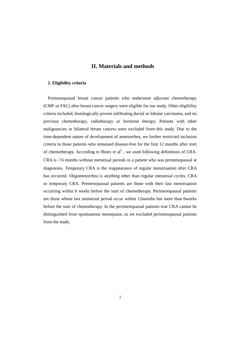#### **II. Materials and methods**

#### **1. Eligibility criteria**

Premenopausal breast cancer patients who underwent adjuvant chemotherapy (CMF or FAC) after breast cancer surgery were eligible for our study. Other eligibility criteria included, histologically proven infiltrating ductal or lobular carcinoma, and no previous chemotherapy, radiotherapy or hormone therapy. Patients with other malignancies or bilateral breast cancers were excluded from this study. Due to the time-dependent nature of development of amenorrhea, we further restricted inclusion criteria to those patients who remained disease-free for the first 12 months after start of chemotherapy. According to Bines et  $al<sup>5</sup>$ , we used following definitions of CRA. CRA is  $\geq$ 6 months without menstrual periods in a patient who was premenopausal at diagonosis. Temporary CRA is the reappearance of regular menstruation after CRA has occurred. Oligomenorrhea is anything other than regular menstrual cycles, CRA or temporary CRA. Premenopausal patients are those with their last menstruation occurring within 6 weeks before the start of chemotherapy. Perimenopausal patients are those whose last menstrual period occur within 12months but more than 6weeks before the start of chemotherapy. In the perimenopausal patients true CRA cannot be distinguished from spontaneous menopause, so we excluded perimenopausal patients from the study.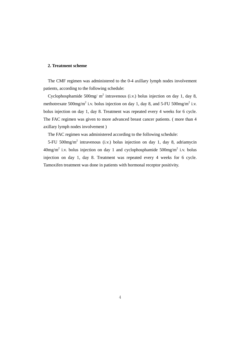#### **2. Treatment scheme**

The CMF regimen was administered to the 0-4 axillary lymph nodes involvement patients, according to the following schedule:

Cyclophosphamide  $500$ mg/ m<sup>2</sup> intravenous (i.v.) bolus injection on day 1, day 8, methotrexate  $500$ mg/m<sup>2</sup> i.v. bolus injection on day 1, day 8, and  $5$ -FU  $500$ mg/m<sup>2</sup> i.v. bolus injection on day 1, day 8. Treatment was repeated every 4 weeks for 6 cycle. The FAC regimen was given to more advanced breast cancer patients. ( more than 4 axillary lymph nodes involvement )

The FAC regimen was administered according to the following schedule:

5-FU 500mg/m<sup>2</sup> intravenous (i.v.) bolus injection on day 1, day 8, adriamycin  $40$ mg/m<sup>2</sup> i.v. bolus injection on day 1 and cyclophosphamide  $500$ mg/m<sup>2</sup> i.v. bolus injection on day 1, day 8. Treatment was repeated every 4 weeks for 6 cycle. Tamoxifen treatment was done in patients with hormonal receptor positivity.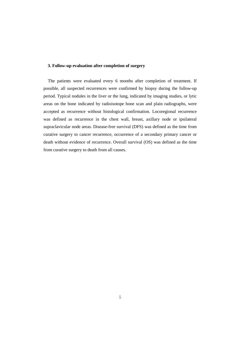#### **3. Follow-up evaluation after completion of surgery**

The patients were evaluated every 6 months after completion of treatment. If possible, all suspected recurrences were confirmed by biopsy during the follow-up period. Typical nodules in the liver or the lung, indicated by imaging studies, or lytic areas on the bone indicated by radioisotope bone scan and plain radiographs, were accepted as recurrence without histological confirmation. Locoregional recurrence was defined as recurrence in the chest wall, breast, axillary node or ipsilateral supraclavicular node areas. Disease-free survival (DFS) was defined as the time from curative surgery to cancer recurrence, occurrence of a secondary primary cancer or death without evidence of recurrence. Overall survival (OS) was defined as the time from curative surgery to death from all causes.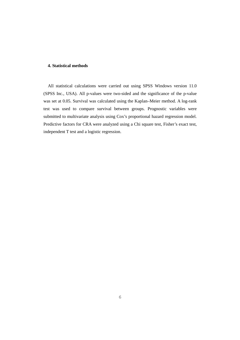#### **4. Statistical methods**

All statistical calculations were carried out using SPSS Windows version 11.0 (SPSS Inc., USA). All p-values were two-sided and the significance of the p-value was set at 0.05. Survival was calculated using the Kaplan–Meier method. A log-rank test was used to compare survival between groups. Prognostic variables were submitted to multivariate analysis using Cox's proportional hazard regression model. Predictive factors for CRA were analyzed using a Chi square test, Fisher's exact test, independent T test and a logistic regression.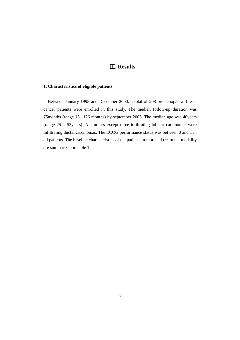### Ⅲ**. Results**

#### **1. Characteristics of eligible patients**

Between January 1995 and December 2000, a total of 208 premenopausal breast cancer patients were enrolled in this study. The median follow-up duration was 75months (range 15 –126 months) by september 2005. The median age was 40years (range 25 – 53years). All tumors except three infiltrating lobular carcinomas were infiltrating ductal carcinomas. The ECOG performance status was between 0 and 1 in all patients. The baseline characteristics of the patients, tumor, and treatment modality are summarized in table 1.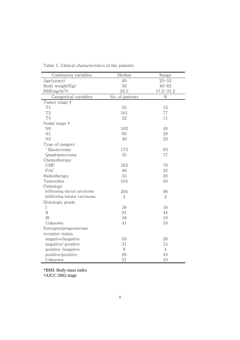| Continuous variables           | Median          | Range          |
|--------------------------------|-----------------|----------------|
| Age(years)                     | 40              | $25 - 53$      |
| Body weight(Kg)                | 56              | $40 - 82$      |
| $BMI(mg/m^2)$ *                | 22.5            | $17.2 - 31.2$  |
| Categorical variables          | No. of patients | $\%$           |
| Tumor stage †                  |                 |                |
| T1                             | 25              | 12             |
| T <sub>2</sub>                 | 161             | 77             |
| T <sub>3</sub>                 | 22              | 11             |
| Nodal stage †                  |                 |                |
| N <sub>0</sub>                 | 102             | 49             |
| N1                             | 60              | 29             |
| N2                             | 46              | 22             |
| Type of surgery                |                 |                |
| `Mastectomy                    | 173             | 83             |
| Quadrantectomy                 | 35              | 17             |
| Chemotherapy                   |                 |                |
| CMF                            | 162             | 78             |
| FAC                            | 46              | 22             |
| Radiotherapy                   | 55              | 26             |
| Tamoxifen                      | 104             | 50             |
| Pathology                      |                 |                |
| Infiltrating ductal carcinoma  | 204             | 98             |
| Infiltrating lobular carcinoma | $\overline{4}$  | $\overline{2}$ |
| Histologic grade               |                 |                |
| I                              | 38              | 18             |
| $\prod$                        | 91              | 44             |
| III                            | 38              | 18             |
| Unknown                        | 41              | 19             |
| Estrogen/progesterone          |                 |                |
| receptor status                |                 |                |
| negative/negative              | 59              | 28             |
| negative/positive              | 31              | 15             |
| positive /negative             | 8               | $\overline{4}$ |
| positive/positive              | 89              | 43             |
| Unknown                        | 21              | 10             |

Table 1. Clinical characteristics of the patients

\*BMI: Body mass index †AJCC 2002 stage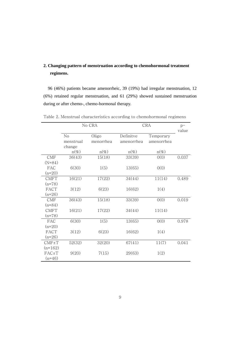### **2. Changing pattern of menstruation according to chemohormonal treatment regimens.**

96 (46%) patients became amenorrheic, 39 (19%) had irregular menstruation, 12 (6%) retained regular menstruation, and 61 (29%) showed sustained menstruation during or after chemo-, chemo-hormonal therapy.

|             |                   | No CRA             | <b>CRA</b>              | $p-$<br>value           |       |
|-------------|-------------------|--------------------|-------------------------|-------------------------|-------|
|             | No<br>menstrual   | Oligo<br>menorrhea | Definitve<br>amenorrhea | Temporary<br>amenorrhea |       |
|             | change<br>$n(\%)$ | $n(\%)$            | $n(\%)$                 | $n(\%)$                 |       |
| CMF         | 36(43)            | 15(18)             | 33(39)                  | 0(0)                    | 0.037 |
| $(N=84)$    |                   |                    |                         |                         |       |
| FAC         | 6(30)             | 1(5)               | 13(65)                  | 0(0)                    |       |
| $(n=20)$    |                   |                    |                         |                         |       |
| <b>CMFT</b> | 16(21)            | 17(22)             | 34(44)                  | 11(14)                  | 0.489 |
| $(n=78)$    |                   |                    |                         |                         |       |
| FACT        | 3(12)             | 6(23)              | 16(62)                  | 1(4)                    |       |
| $(n=26)$    |                   |                    |                         |                         |       |
| <b>CMF</b>  | 36(43)            | 15(18)             | 33(39)                  | 0(0)                    | 0.019 |
| $(n=84)$    |                   |                    |                         |                         |       |
| <b>CMFT</b> | 16(21)            | 17(22)             | 34(44)                  | 11(14)                  |       |
| $(n=78)$    |                   |                    |                         |                         |       |
| FAC         | 6(30)             | 1(5)               | 13(65)                  | 0(0)                    | 0.978 |
| $(n=20)$    |                   |                    |                         |                         |       |
| FACT        | 3(12)             | 6(23)              | 16(62)                  | 1(4)                    |       |
| $(n=26)$    |                   |                    |                         |                         |       |
| $CMF \pm T$ | 52(32)            | 32(20)             | 67(41)                  | 11(7)                   | 0.041 |
| $(n=162)$   |                   |                    |                         |                         |       |
| FACT        | 9(20)             | 7(15)              | 29(63)                  | 1(2)                    |       |
| $(n=46)$    |                   |                    |                         |                         |       |

Table 2. Menstrual characteristics according to chemohormonal regimens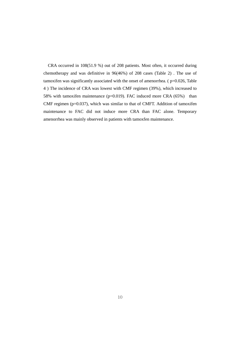CRA occurred in 108(51.9 %) out of 208 patients. Most often, it occurred during chemotherapy and was definitive in 96(46%) of 208 cases (Table 2) . The use of tamoxifen was significantly associated with the onset of amenorrhea. (  $p=0.026$ , Table 4 ) The incidence of CRA was lowest with CMF regimen (39%), which increased to 58% with tamoxifen maintenance ( $p=0.019$ ). FAC induced more CRA (65%) than CMF regimen ( $p=0.037$ ), which was similar to that of CMFT. Addition of tamoxifen maintenance to FAC did not induce more CRA than FAC alone. Temporary amenorrhea was mainly observed in patients with tamoxfen maintenance.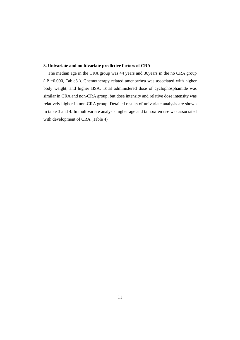#### **3. Univariate and multivariate predictive factors of CRA**

The median age in the CRA group was 44 years and 36years in the no CRA group ( P =0.000, Table3 ). Chemotherapy related amenorrhea was associated with higher body weight, and higher BSA. Total administered dose of cyclophosphamide was similar in CRA and non-CRA group, but dose intensity and relative dose intensity was relatively higher in non-CRA group. Detailed results of univariate analysis are shown in table 3 and 4. In multivariate analysis higher age and tamoxifen use was associated with development of CRA.(Table 4)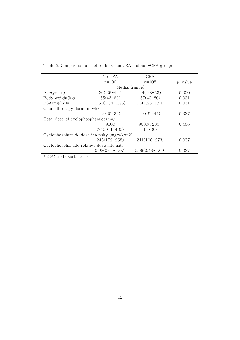|                                              | No CRA              | CRA                 |         |  |  |  |
|----------------------------------------------|---------------------|---------------------|---------|--|--|--|
|                                              | $n = 100$           | $n = 108$           | p-value |  |  |  |
|                                              | Median(range)       |                     |         |  |  |  |
| Age(years)                                   | $36(25-49)$         | $44(28-53)$         | 0.000   |  |  |  |
| Body weight(kg)                              | $55(43-82)$         | $57(40-80)$         | 0.021   |  |  |  |
| $BSA(mg/m^2)$ *                              | $1.55(1.34-1.96)$   | $1.6(1.28-1.91)$    | 0.031   |  |  |  |
| Chemothrerapy duration(wk)                   |                     |                     |         |  |  |  |
|                                              | $24(20-34)$         | $24(21-44)$         | 0.337   |  |  |  |
| Total dose of cyclophosphamide(mg)           |                     |                     |         |  |  |  |
|                                              | 9000                | $9000(7200 -$       | 0.466   |  |  |  |
|                                              | $(7400 - 11400)$    | 11200)              |         |  |  |  |
| Cyclophosphamide dose intensity $(mg/wk/m2)$ |                     |                     |         |  |  |  |
|                                              | $245(152 - 268)$    | $241(106-273)$      | 0.037   |  |  |  |
| Cyclophosphamide relative dose intensity     |                     |                     |         |  |  |  |
|                                              | $0.98(0.61 - 1.07)$ | $0.96(0.43 - 1.09)$ | 0.037   |  |  |  |

Table 3. Comparison of factors between CRA and non-CRA groups

\*BSA: Body surface area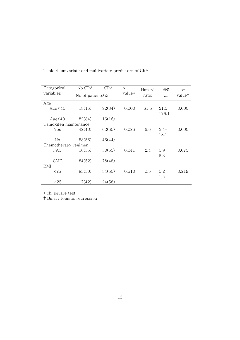| Categorical           | No CRA | <b>CRA</b>        | $p-$<br>value* | Hazard | 95%              | $p -$              |
|-----------------------|--------|-------------------|----------------|--------|------------------|--------------------|
| variables             |        | No of patients(%) |                | ratio  | CI               | value <sup>†</sup> |
| Age                   |        |                   |                |        |                  |                    |
| $Age \geq 40$         | 18(16) | 92(84)            | 0.000          | 61.5   | $21.5-$<br>176.1 | 0.000              |
| Age <sub>40</sub>     | 82(84) | 16(16)            |                |        |                  |                    |
| Tamoxifen maintenance |        |                   |                |        |                  |                    |
| Yes                   | 42(40) | 62(60)            | 0.026          | 6.6    | $2.4-$<br>18.1   | 0.000              |
| No                    | 58(56) | 46(44)            |                |        |                  |                    |
| Chemotherapy regimen  |        |                   |                |        |                  |                    |
| FAC                   | 16(35) | 30(65)            | 0.041          | 2.4    | $0.9 -$<br>6.3   | 0.075              |
| <b>CMF</b><br>BMI     | 84(52) | 78(48)            |                |        |                  |                    |
| <25                   | 83(50) | 84(50)            | 0.510          | 0.5    | $0.2 -$<br>1.5   | 0.219              |
| $\geq$ 25             | 17(42) | 24(58)            |                |        |                  |                    |

Table 4. univariate and multivariate predictors of CRA

\* chi square test

† Binary logistic regression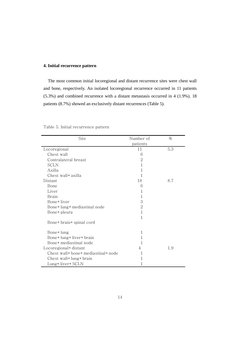#### **4. Initial recurrence pattern**

The most common initial locoregional and distant recurrence sites were chest wall and bone, respectively. An isolated locoregional recurrence occurred in 11 patients (5.3%) and combined recurrence with a distant metastasis occurred in 4 (1.9%). 18 patients (8.7%) showed an exclusively distant recurrences (Table 5).

| Site                                | Number of      | $\%$ |
|-------------------------------------|----------------|------|
|                                     | patients       |      |
| Locoregional                        | 11             | 5.3  |
| Chest wall                          | 6              |      |
| Contralateral breast                | 2              |      |
| <b>SCLN</b>                         | 1              |      |
| Axilla                              | 1              |      |
| Chest wall+ axilla                  | 1              |      |
| Distant                             | 18             | 8.7  |
| Bone                                | 6              |      |
| Liver                               | 1              |      |
| <b>Brain</b>                        | 1              |      |
| Bone+liver                          | 3              |      |
| Bone+lung+mediastinal node          | 2              |      |
| Bone+ pleura                        | 1              |      |
|                                     | 1              |      |
| Bone+ brain+ spinal cord            |                |      |
|                                     |                |      |
| Bone+lung                           | 1              |      |
| Bone+lung+liver+brain               | 1              |      |
| Bone+ mediastinal node              | 1              |      |
| Locoregional+ distant               | $\overline{4}$ | 1.9  |
| Chest wall+ bone+ mediastinal+ node | 1              |      |
| Chest wall+ lung+ brain             | 1              |      |
| Lung+liver+SCLN                     | 1              |      |

Table 5. Initial recurrence pattern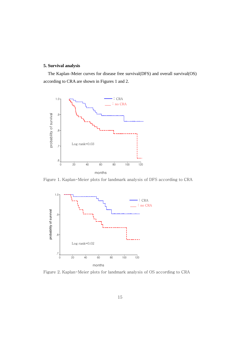#### **5. Survival analysis**

The Kaplan–Meier curves for disease free survival(DFS) and overall survival(OS) according to CRA are shown in Figures 1 and 2.



Figure 1. Kaplan-Meier plots for landmark analysis of DFS according to CRA



Figure 2. Kaplan-Meier plots for landmark analysis of OS according to CRA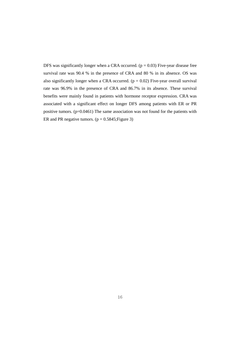DFS was significantly longer when a CRA occurred. ( $p = 0.03$ ) Five-year disease free survival rate was 90.4 % in the presence of CRA and 80 % in its absence. OS was also significantly longer when a CRA occurred.  $(p = 0.02)$  Five-year overall survival rate was 96.9% in the presence of CRA and 86.7% in its absence. These survival benefits were mainly found in patients with hormone receptor expression. CRA was associated with a significant effect on longer DFS among patients with ER or PR positive tumors. (p=0.0461) The same association was not found for the patients with ER and PR negative tumors.  $(p = 0.5845;$  Figure 3)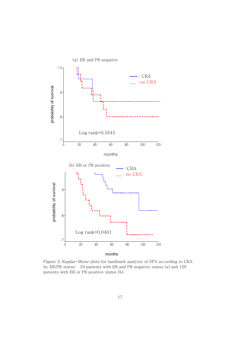

Figure 3. Kaplan-Meier plots for landmark analysis of DFS according to CRA by ER/PR status: 59 patients with ER and PR negative status (a) and 128 patients with ER or PR positive status (b).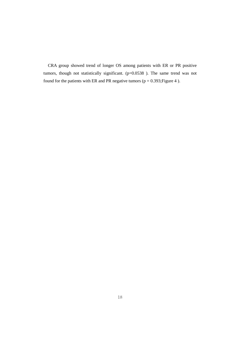CRA group showed trend of longer OS among patients with ER or PR positive tumors, though not statistically significant. (p=0.0538 ). The same trend was not found for the patients with ER and PR negative tumors ( $p = 0.393$ ; Figure 4).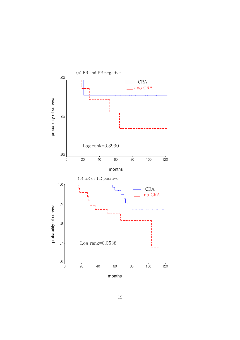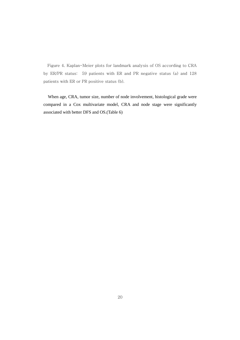Figure 4. Kaplan-Meier plots for landmark analysis of OS according to CRA by ER/PR status: 59 patients with ER and PR negative status (a) and 128 patients with ER or PR positive status (b).

When age, CRA, tumor size, number of node involvement, histological grade were compared in a Cox multivariate model, CRA and node stage were significantly associated with better DFS and OS.(Table 6)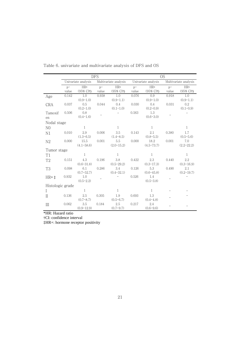|                  | <b>DFS</b> |                               |       | <b>OS</b>             |       |                               |       |                               |
|------------------|------------|-------------------------------|-------|-----------------------|-------|-------------------------------|-------|-------------------------------|
|                  |            | Univariate analysis           |       | Multivariate analysis |       | Univariate analysis           |       | Multivariate analysis         |
|                  | $D^-$      | $HR*$                         | $D^-$ | $HR*$                 | $D^-$ | $HR*$                         | $D^-$ | $HR*$                         |
|                  | value      | $(95\% \text{ CI}^{\dagger})$ | value | $(95\% \text{ CI})$   | value | $(95\% \text{ CI}^{\dagger})$ | value | $(95\% \text{ CI}^{\dagger})$ |
| Age              | 0.142      | 1.0                           | 0.938 | 1.0                   | 0.076 | 0.9                           | 0.918 | 1.0                           |
|                  |            | $(0.9 - 1.0)$                 |       | $(0.9-1.1)$           |       | $(0.9-1.0)$                   |       | $(0.9-1.1)$                   |
| CRA              | 0.037      | 0.5                           | 0.044 | 0.4                   | 0.030 | 0.4                           | 0.031 | 0.2                           |
|                  |            | $(0.2 - 1.0)$                 |       | $(0.1 - 1.0)$         |       | $(0.2 - 0.9)$                 |       | $(0.1 - 0.9)$                 |
| Tamoxif          | 0.506      | 0.8                           |       |                       | 0.563 | 1.3                           |       |                               |
| en               |            | $(0.4-1.6)$                   |       |                       |       | $(0.6 - 3.0)$                 |       |                               |
| Nodal stage      |            |                               |       |                       |       |                               |       |                               |
| N <sub>0</sub>   |            | 1                             |       | $\mathbf{1}$          |       | $\mathbf{1}$                  |       | $\mathbf{1}$                  |
| N1               | 0.010      | 2.9                           | 0.006 | 3.5                   | 0.143 | 2.1                           | 0.380 | 1.7                           |
|                  |            | $(1.3 - 6.5)$                 |       | $(1.4 - 8.5)$         |       | $(0.8 - 5.5)$                 |       | $(0.5 - 5.6)$                 |
| N2               | 0.000      | 15.5                          | 0.001 | 5.5                   | 0.000 | 18.2                          | 0.001 | 7.0                           |
|                  |            | $(4.1 - 58.6)$                |       | $(2.0 - 15.2)$        |       | $(4.5 - 73.7)$                |       | $(2.2 - 22.2)$                |
| Tumor stage      |            |                               |       |                       |       |                               |       |                               |
| T1               |            | $\mathbf{1}$                  |       | $\mathbf{1}$          |       | $\mathbf{1}$                  |       | $\mathbf{1}$                  |
| T <sub>2</sub>   | 0.151      | 4.3                           | 0.196 | 3.8                   | 0.422 | 2.3                           | 0.440 | $2.2\,$                       |
|                  |            | $(0.6 - 31.8)$                |       | $(0.5 - 29.2)$        |       | $(0.3 - 17.3)$                |       | $(0.3 - 16.9)$                |
| T <sub>3</sub>   | 0.098      | 6.1                           | 0.286 | 3.4                   | 0.126 | 5.3                           | 0.490 | 2.1                           |
|                  |            | $(0.7 - 52.7)$                |       | $(0.4 - 32.1)$        |       | $(0.6 - 45.8)$                |       | $(0.2 - 19.7)$                |
| $HR+1$           | 0.932      | 1.0                           |       |                       | 0.526 | 1.4                           |       |                               |
|                  |            | $(0.5 - 2.2)$                 |       |                       |       | $(0.5 - 3.8)$                 |       |                               |
| Histologic grade |            |                               |       |                       |       |                               |       |                               |
| L                |            | $\mathbf{1}$                  |       | $\mathbf{1}$          |       | 1                             |       |                               |
| $\rm{II}$        | 0.136      | 2.5                           | 0.305 | 1.9                   | 0.693 | 1.3                           |       |                               |
|                  |            | $(0.7 - 8.7)$                 |       | $(0.5 - 6.7)$         |       | $(0.4 - 4.8)$                 |       |                               |
| III              | 0.062      | 3.5                           | 0.184 | 2.5                   | 0.217 | 2.4                           |       |                               |
|                  |            | $(0.9 - 12.9)$                |       | $(0.7 - 9.7)$         |       | $(0.6 - 9.6)$                 |       |                               |

Table 6. univariate and multivariate analysis of DFS and OS

\*HR: Hazard ratio

†CI: confidence interval

‡HR+: hormone receptor positivity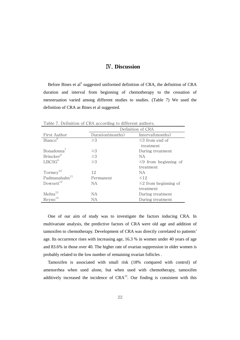#### Ⅳ. **Discussion**

Before Bines et al<sup>5</sup> suggested uniformed definition of CRA, the definition of CRA duration and interval from beginning of chemotherapy to the cessation of menstruation varied among different studies to studies. (Table 7) We used the definition of CRA as Bines et al suggested.

|                           | Definition of CRA |                            |  |  |  |
|---------------------------|-------------------|----------------------------|--|--|--|
| First Author              | Duration(months)  | Interval(months)           |  |  |  |
| Bianco <sup>6</sup>       | $\geq$ 3          | $\leq$ 3 from end of       |  |  |  |
|                           |                   | treatment                  |  |  |  |
| Bonadonna <sup>7</sup>    | $\geq$ 3          | During treatment           |  |  |  |
| Brincker <sup>8</sup>     | $\geq$ 3          | NА                         |  |  |  |
| LBCSG <sup>9</sup>        | $\geq$ 3          | $\leq$ 9 from beginning of |  |  |  |
|                           |                   | treatment                  |  |  |  |
| Tormey <sup>10</sup>      | 12                | NA.                        |  |  |  |
| Padmanabahn <sup>11</sup> | Permanent         | $\leq$ 12                  |  |  |  |
| Dowsett <sup>12</sup>     | NA.               | $\leq$ from beginning of   |  |  |  |
|                           |                   | treatment                  |  |  |  |
| $Metha^{13}$              | NA.               | During treatment           |  |  |  |
| $\mathrm{Reyno}^{14}$     | NА                | During treatment           |  |  |  |

Table 7. Definition of CRA according to different authors.

One of our aim of study was to investigate the factors inducing CRA. In multivariate analysis, the predictive factors of CRA were old age and addition of tamoxifen to chemotherapy. Development of CRA was directly correlated to patients' age. Its occurrence rises with increasing age, 16.3 % in women under 40 years of age and 83.6% in those over 40. The higher rate of ovarian suppression in older women is probably related to the low number of remaining ovarian follicles .

Tamoxifen is associated with small risk (18% compared with control) of amenorrhea when used alone, but when used with chemotherapy, tamoxifen additively increased the incidence of  $CRA<sup>15</sup>$ . Our finding is consistent with this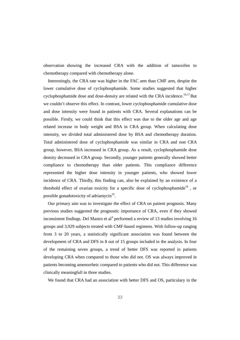observation showing the increased CRA with the addition of tamoxifen to chemotherapy compared with chemotherapy alone.

Interestingly, the CRA rate was higher in the FAC arm than CMF arm, despite the lower cumulative dose of cyclophosphamide. Some studies suggested that higher cyclophosphamide dose and dose-density are related with the CRA incidence.<sup>16,17</sup> But we couldn't observe this effect. In contrast, lower cyclophosphamide cumulative dose and dose intensity were found in patients with CRA. Several explanations can be possible. Firstly, we could think that this effect was due to the older age and age related increase in body weight and BSA in CRA group. When calculating dose intensity, we divided total administered dose by BSA and chemotherapy duration. Total administered dose of cyclophosphamide was similar in CRA and non CRA group, however, BSA increased in CRA group. As a result, cyclophosphamide dose density decreased in CRA group. Secondly, younger patients generally showed better compliance to chemotherapy than older patients. This compliance difference represented the higher dose intensity in younger patients, who showed lower incidence of CRA. Thirdly, this finding can, also be explained by an existence of a threshold effect of ovarian toxicity for a specific dose of cyclophosphamide<sup>18</sup>, or possible gonadotoxicity of adriamycin<sup>19</sup>.

Our primary aim was to investigate the effect of CRA on patient prognosis. Many previous studies suggested the prognostic importance of CRA, even if they showed inconsistent findings. Del Mastro et al<sup>4</sup> performed a review of 13 studies involving 16 groups and 3,929 subjects treated with CMF-based regimens. With follow-up ranging from 3 to 20 years, a statistically significant association was found between the development of CRA and DFS in 8 out of 15 groups included in the analysis. In four of the remaining seven groups, a trend of better DFS was reported in patients developing CRA when compared to those who did not. OS was always improved in patients becoming amenorrheic compared to patients who did not. This difference was clinically meaningfull in three studies.

We found that CRA had an association with better DFS and OS, particulary in the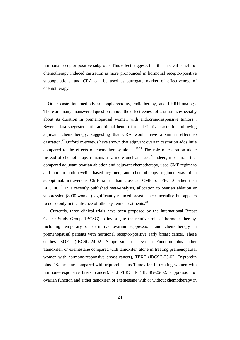hormonal receptor-positive subgroup. This effect suggests that the survival benefit of chemotherapy induced castration is more pronounced in hormonal receptor-positive subpopulations, and CRA can be used as surrogate marker of effectiveness of chemotherapy.

Other castration methods are oophorectomy, radiotherapy, and LHRH analogs. There are many unanswered questions about the effectiveness of castration, especially about its duration in premenopausal women with endocrine-responsive tumors . Several data suggested little additional benefit from definitive castration following adjuvant chemotherapy, suggesting that CRA would have a similar effect to castration.<sup>17</sup> Oxford overviews have shown that adjuvant ovarian castration adds little compared to the effects of chemotherapy alone.  $20,21$  The role of castration alone instead of chemotherapy remains as a more unclear issue.<sup>22</sup> Indeed, most trials that compared adjuvant ovarian ablation and adjuvant chemotherapy, used CMF regimens and not an anthracycline-based regimen, and chemotherapy regimen was often suboptimal, intravenous CMF rather than classical CMF, or FEC50 rather than  $FEC100<sup>17</sup>$  In a recently published meta-analysis, allocation to ovarian ablation or suppression (8000 women) significantly reduced breast cancer mortality, but appears to do so only in the absence of other systemic treatments.<sup>23</sup>

 Currently, three clinical trials have been proposed by the International Breast Cancer Study Group (IBCSG) to investigate the relative role of hormone therapy, including temporary or definitive ovarian suppression, and chemotherapy in premenopausal patients with hormonal receptor-positive early breast cancer. These studies, SOFT (IBCSG-24-02: Suppression of Ovarian Function plus either Tamoxifen or exemestane compared with tamoxifen alone in treating premenopausal women with hormone-responsive breast cancer), TEXT (IBCSG-25-02: Triptorelin plus EXemestane compared with triptorelin plus Tamoxifen in treating women with hormone-responsive breast cancer), and PERCHE (IBCSG-26-02: suppression of ovarian function and either tamoxifen or exemestane with or without chemotherapy in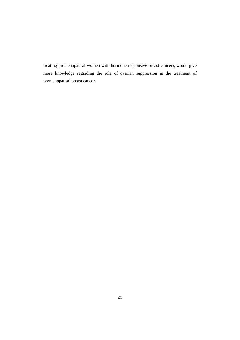treating premenopausal women with hormone-responsive breast cancer), would give more knowledge regarding the role of ovarian suppression in the treatment of premenopausal breast cancer.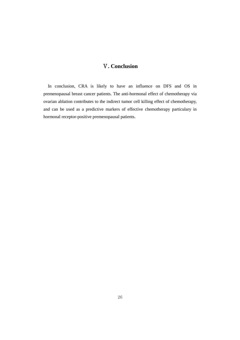### Ⅴ**. Conclusion**

In conclusion, CRA is likely to have an influence on DFS and OS in premenopausal breast cancer patients. The anti-hormonal effect of chemotherapy via ovarian ablation contributes to the indirect tumor cell killing effect of chemotherapy, and can be used as a predictive markers of effective chemotherapy particulary in hormonal receptor-positive premenopausal patients.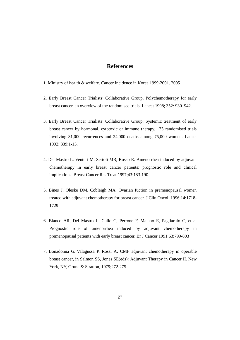#### **References**

- 1. Ministry of health & welfare. Cancer Incidence in Korea 1999-2001. 2005
- 2. Early Breast Cancer Trialists' Collaborative Group. Polychemotherapy for early breast cancer. an overview of the randomised trials. Lancet 1998; 352: 930–942.
- 3. Early Breast Cancer Trialists' Collaborative Group. Systemic treatment of early breast cancer by hormonal, cytotoxic or immune therapy. 133 randomised trials involving 31,000 recurrences and 24,000 deaths among 75,000 women. Lancet 1992; 339:1-15.
- 4. Del Mastro L, Venturi M, Sertoli MR, Rosso R. Amenorrhea induced by adjuvant chemotherapy in early breast cancer patients: prognostic role and clinical implications. Breast Cancer Res Treat 1997;43:183-190.
- 5. Bines J, Oleske DM, Cobleigh MA. Ovarian fuction in premenopausal women treated with adjuvant chemotherapy for breast cancer. J Clin Oncol. 1996;14:1718- 1729
- 6. Bianco AR, Del Mastro L. Gallo C, Perrone F, Matano E, Pagliarulo C, et al Prognostic role of amenorrhea induced by adjuvant chemotherapy in premenopausal patients with early breast cancer. Br J Cancer 1991:63:799-803
- 7. Bonadonna G, Valagussa P, Rossi A. CMF adjuvant chemotherapy in operable breast cancer, in Salmon SS, Jones SE(eds): Adjuvant Therapy in Cancer II. New York, NY, Grune & Stratton, 1979;272-275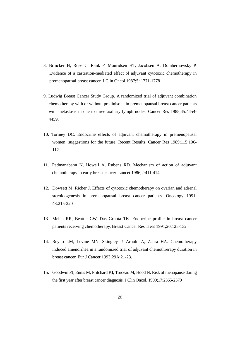- 8. Brincker H, Rose C, Rank F, Mouridsen HT, Jacobsen A, Dombernowsky P. Evidence of a castration-mediated effect of adjuvant cytotoxic chemotherapy in premenopausal breast cancer. J Clin Oncol 1987;5: 1771-1778
- 9. Ludwig Breast Cancer Study Group. A randomized trial of adjuvant combination chemotherapy with or without predinisone in premenopausal breast cancer patients with metastasis in one to three axillary lymph nodes. Cancer Res 1985;45:4454- 4459.
- 10. Tormey DC. Endocrine effects of adjuvant chemotherapy in premenopausal women: suggestions for the future. Recent Results. Cancer Res 1989;115:106- 112.
- 11. Padmanabahn N, Howell A, Rubens RD. Mechanism of action of adjuvant chemotherapy in early breast cancer. Lancet 1986;2:411-414.
- 12. Dowsett M, Richer J. Effects of cytotoxic chemotherapy on ovarian and adrenal steroidogenesis in premenopausal breast cancer patients. Oncology 1991; 48:215-220
- 13. Mehta RR, Beattie CW, Das Grupta TK. Endocrine profile in breast cancer patients receiving chemotherapy. Breast Cancer Res Treat 1991;20:125-132
- 14. Reyno LM, Levine MN, Skingley P. Arnold A, Zahra HA. Chemotherapy induced amenorrhea in a randomized trial of adjuvant chemothrerapy duration in breast cancer. Eur J Cancer 1993;29A:21-23.
- 15. Goodwin PJ, Ennis M, Pritchard KI, Trudeau M, Hood N. Risk of menopause during the first year after breast cancer diagnosis. J Clin Oncol. 1999;17:2365-2370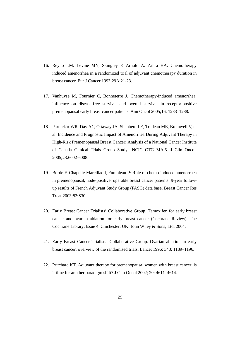- 16. Reyno LM. Levine MN, Skingley P. Arnold A. Zahra HA: Chemotherapy induced amenorrhea in a randomized trial of adjuvant chemotherapy duration in breast cancer. Eur J Cancer 1993;29A:21-23.
- 17. Vanhuyse M, Fournier C, Bonneterre J. Chemotherapy-induced amenorrhea: influence on disease-free survival and overall survival in receptor-positive premenopausal early breast cancer patients. Ann Oncol 2005;16: 1283–1288.
- 18. Parulekar WR, Day AG, Ottaway JA, Shepherd LE, Trudeau ME, Bramwell V, et al. Incidence and Prognostic Impact of Amenorrhea During Adjuvant Therapy in High-Risk Premenopausal Breast Cancer: Analysis of a National Cancer Institute of Canada Clinical Trials Group Study—NCIC CTG MA.5. J Clin Oncol. 2005;23:6002-6008.
- 19. Borde F, Chapelle-Marcillac I, Fumoleau P: Role of chemo-induced amenorrhea in premenopausal, node-positive, operable breast cancer patients: 9-year followup results of French Adjuvant Study Group (FASG) data base. Breast Cancer Res Treat 2003;82:S30.
- 20. Early Breast Cancer Trialists' Collaborative Group. Tamoxifen for early breast cancer and ovarian ablation for early breast cancer (Cochrane Review). The Cochrane Library, Issue 4. Chichester, UK: John Wiley & Sons, Ltd. 2004.
- 21. Early Breast Cancer Trialists' Collaborative Group. Ovarian ablation in early breast cancer: overview of the randomised trials. Lancet 1996; 348: 1189–1196.
- 22. Pritchard KT. Adjuvant therapy for premenopausal women with breast cancer: is it time for another paradigm shift? J Clin Oncol 2002; 20: 4611–4614.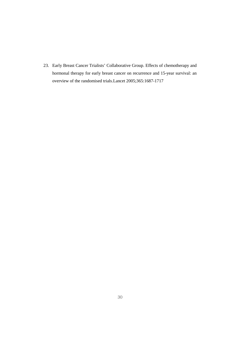23. Early Breast Cancer Trialists' Collaborative Group. Effects of chemotherapy and hormonal therapy for early breast cancer on recurrence and 15-year survival: an overview of the randomised trials.Lancet 2005;365:1687-1717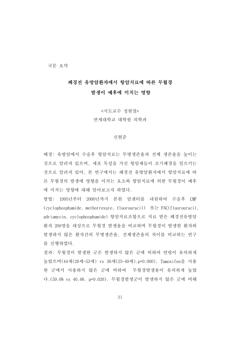국문 요약

#### 폐경전 유방암환자에서 항암치료에 따른 무월경

#### 발생이 예후에 미치는 영향

<지도교수 정현철> 연세대학교 대학원 의학과

#### 신현준

배경: 유방암에서 수술후 항암치료는 무병생존율과 전체 생존율을 높이는 것으로 알려져 있으며, 세포 독성을 가진 항암제들이 조기폐경을 일으키는 것으로 알려져 있어, 본 연구에서는 폐경전 유방암환자에서 항암치료에 따 른 무월경의 발생에 영향을 미치는 요소와 항암치료에 의한 무월경이 예후 에 미치는 영향에 대해 알아보고자 하였다.

방법: 1995년부터 2000년까지 본원 암센터를 내원하여 수술후 CMF (cyclophosphamide, methotrexate, fluorouracil) 또는 FAC(fluorouracil, adriamycin, cyclophosphamide) 항암치료조합으로 치료 받은 폐경전유방암 환자 208명을 대상으로 무월경 발생율을 비교하며 무월경이 발생한 환자와 발생하지 않은 환자간의 무병생존율, 전체생존율의 차이를 비교하는 연구 를 진행하였다.

결과: 무월경이 발생한 군은 발생하지 않은 군에 비하여 연령이 유의하게 높았으며(44세(28세-53세) vs 36세(25-49세).p=0.000), Tamoxifen을 사용 한 군에서 사용하지 않은 군에 비하여 무월경발생율이 유의하게 높았 다.(59.6% vs 40.4%. p=0.026). 무월경발생군이 발생하지 않은 군에 비해